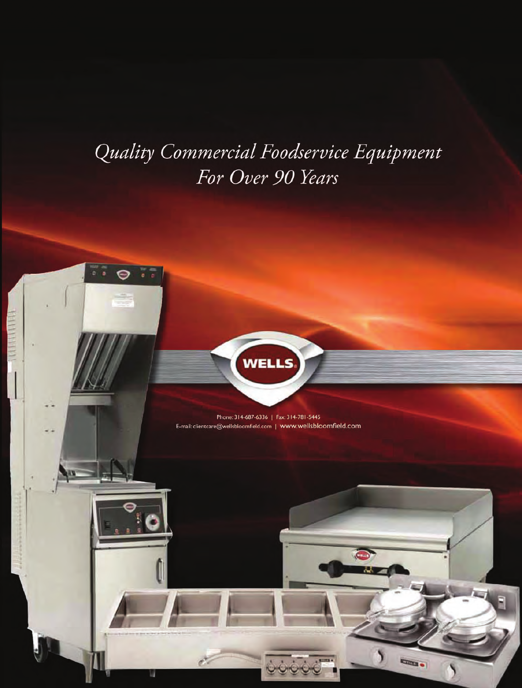# Quality Commercial Foodservice Equipment For Over 90 Years



Phone: 314-687-6336 | Fax: 314-781-5445 E-mail: clientcare@wellsbloomfield.com | www.wellsbloomfield.com

 $\bigodot$ 

m.